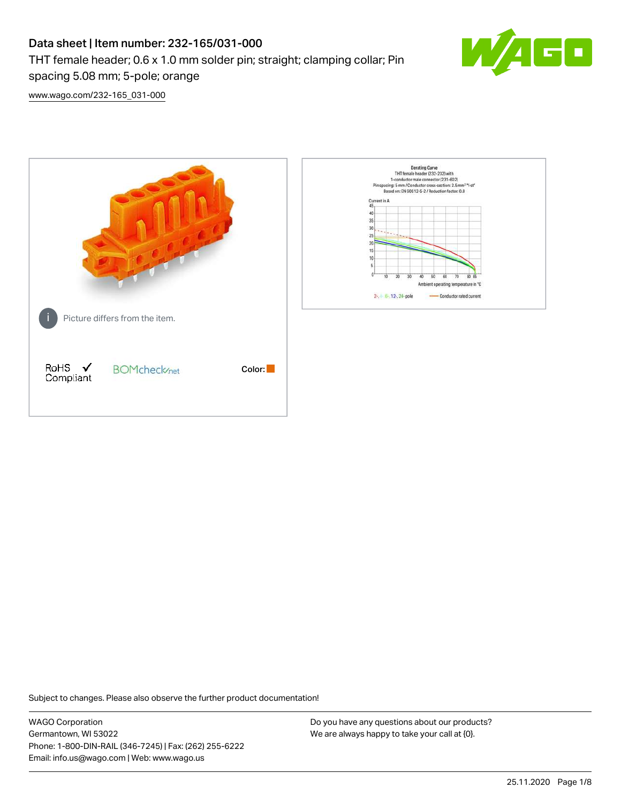# Data sheet | Item number: 232-165/031-000 THT female header; 0.6 x 1.0 mm solder pin; straight; clamping collar; Pin spacing 5.08 mm; 5-pole; orange



[www.wago.com/232-165\\_031-000](http://www.wago.com/232-165_031-000)



Subject to changes. Please also observe the further product documentation!

WAGO Corporation Germantown, WI 53022 Phone: 1-800-DIN-RAIL (346-7245) | Fax: (262) 255-6222 Email: info.us@wago.com | Web: www.wago.us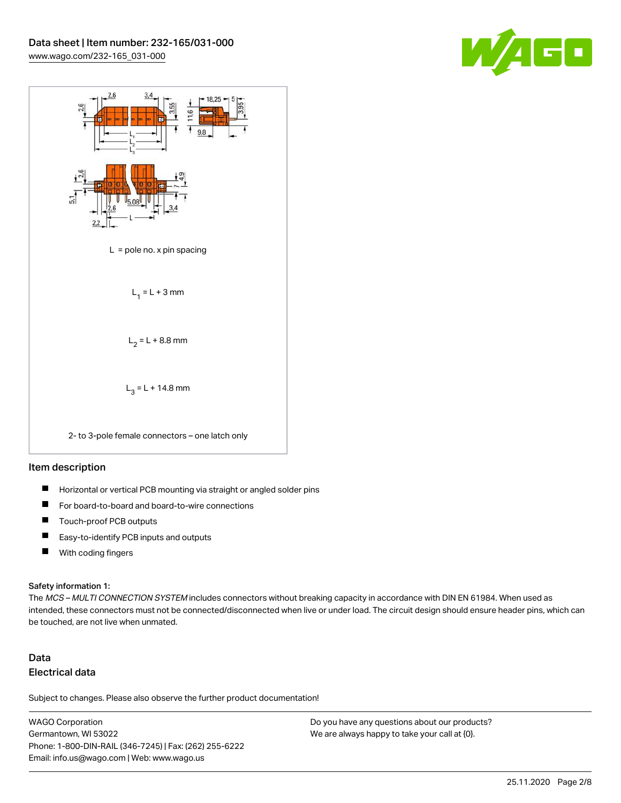



#### Item description

- $\blacksquare$ Horizontal or vertical PCB mounting via straight or angled solder pins
- П For board-to-board and board-to-wire connections
- $\blacksquare$ Touch-proof PCB outputs
- $\blacksquare$ Easy-to-identify PCB inputs and outputs
- $\blacksquare$ With coding fingers

#### Safety information 1:

The MCS - MULTI CONNECTION SYSTEM includes connectors without breaking capacity in accordance with DIN EN 61984. When used as intended, these connectors must not be connected/disconnected when live or under load. The circuit design should ensure header pins, which can be touched, are not live when unmated.

## Data Electrical data

Subject to changes. Please also observe the further product documentation!

WAGO Corporation Germantown, WI 53022 Phone: 1-800-DIN-RAIL (346-7245) | Fax: (262) 255-6222 Email: info.us@wago.com | Web: www.wago.us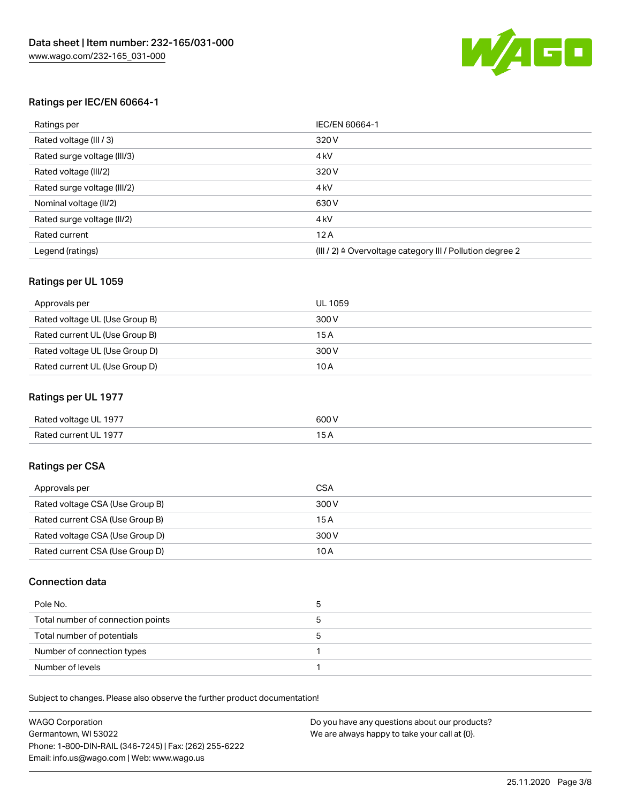

#### Ratings per IEC/EN 60664-1

| Ratings per                 | IEC/EN 60664-1                                                        |
|-----------------------------|-----------------------------------------------------------------------|
| Rated voltage (III / 3)     | 320 V                                                                 |
| Rated surge voltage (III/3) | 4 <sub>k</sub> V                                                      |
| Rated voltage (III/2)       | 320 V                                                                 |
| Rated surge voltage (III/2) | 4 <sub>k</sub> V                                                      |
| Nominal voltage (II/2)      | 630 V                                                                 |
| Rated surge voltage (II/2)  | 4 <sub>k</sub> V                                                      |
| Rated current               | 12A                                                                   |
| Legend (ratings)            | $(III / 2)$ $\triangle$ Overvoltage category III / Pollution degree 2 |

#### Ratings per UL 1059

| Approvals per                  | UL 1059 |
|--------------------------------|---------|
| Rated voltage UL (Use Group B) | 300 V   |
| Rated current UL (Use Group B) | 15 A    |
| Rated voltage UL (Use Group D) | 300 V   |
| Rated current UL (Use Group D) | 10 A    |

#### Ratings per UL 1977

| Rated voltage UL 1977 | 600 <sup>V</sup><br>. |
|-----------------------|-----------------------|
| Rated current UL 1977 |                       |

#### Ratings per CSA

| Approvals per                   | CSA   |
|---------------------------------|-------|
| Rated voltage CSA (Use Group B) | 300 V |
| Rated current CSA (Use Group B) | 15A   |
| Rated voltage CSA (Use Group D) | 300 V |
| Rated current CSA (Use Group D) | 10 A  |

#### Connection data

| Pole No.                          |  |
|-----------------------------------|--|
| Total number of connection points |  |
| Total number of potentials        |  |
| Number of connection types        |  |
| Number of levels                  |  |

Subject to changes. Please also observe the further product documentation!

| <b>WAGO Corporation</b>                                | Do you have any questions about our products? |
|--------------------------------------------------------|-----------------------------------------------|
| Germantown, WI 53022                                   | We are always happy to take your call at {0}. |
| Phone: 1-800-DIN-RAIL (346-7245)   Fax: (262) 255-6222 |                                               |
| Email: info.us@wago.com   Web: www.wago.us             |                                               |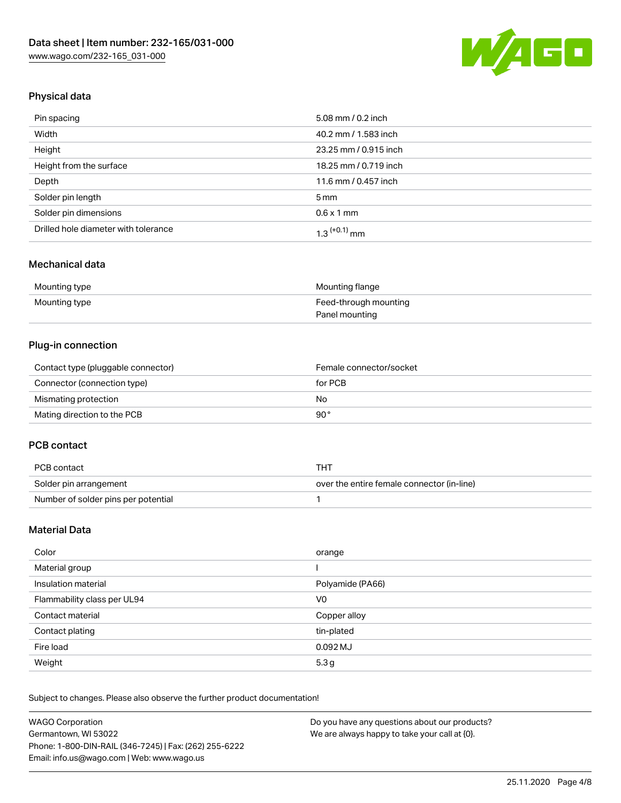

## Physical data

| Pin spacing                          | 5.08 mm / 0.2 inch    |
|--------------------------------------|-----------------------|
| Width                                | 40.2 mm / 1.583 inch  |
| Height                               | 23.25 mm / 0.915 inch |
| Height from the surface              | 18.25 mm / 0.719 inch |
| Depth                                | 11.6 mm / 0.457 inch  |
| Solder pin length                    | $5 \,\mathrm{mm}$     |
| Solder pin dimensions                | $0.6 \times 1$ mm     |
| Drilled hole diameter with tolerance | $1.3$ $(+0.1)$ mm     |

#### Mechanical data

| Mounting type | Mounting flange       |
|---------------|-----------------------|
| Mounting type | Feed-through mounting |
|               | Panel mounting        |

### Plug-in connection

| Contact type (pluggable connector) | Female connector/socket |
|------------------------------------|-------------------------|
| Connector (connection type)        | for PCB                 |
| Mismating protection               | No                      |
| Mating direction to the PCB        | 90°                     |

#### PCB contact

| PCB contact                         | THT                                        |
|-------------------------------------|--------------------------------------------|
| Solder pin arrangement              | over the entire female connector (in-line) |
| Number of solder pins per potential |                                            |

## Material Data

| Color                       | orange           |
|-----------------------------|------------------|
| Material group              |                  |
| Insulation material         | Polyamide (PA66) |
| Flammability class per UL94 | V <sub>0</sub>   |
| Contact material            | Copper alloy     |
| Contact plating             | tin-plated       |
| Fire load                   | 0.092 MJ         |
| Weight                      | 5.3 <sub>g</sub> |

Subject to changes. Please also observe the further product documentation!

| <b>WAGO Corporation</b>                                | Do you have any questions about our products? |
|--------------------------------------------------------|-----------------------------------------------|
| Germantown, WI 53022                                   | We are always happy to take your call at {0}. |
| Phone: 1-800-DIN-RAIL (346-7245)   Fax: (262) 255-6222 |                                               |
| Email: info.us@wago.com   Web: www.wago.us             |                                               |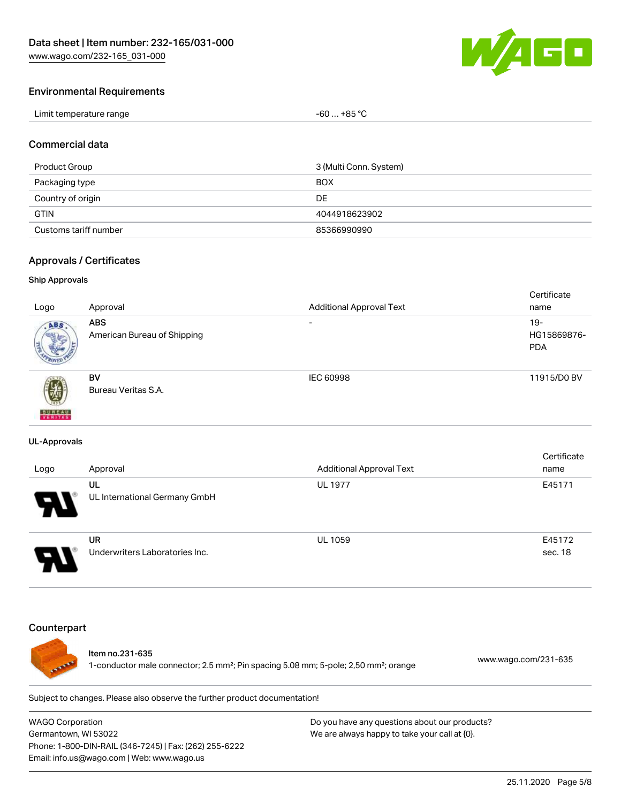

#### Environmental Requirements

| Limit temperature range | -60  +85 °Ր |
|-------------------------|-------------|
|-------------------------|-------------|

#### Commercial data

| Product Group         | 3 (Multi Conn. System) |
|-----------------------|------------------------|
| Packaging type        | <b>BOX</b>             |
| Country of origin     | DE                     |
| <b>GTIN</b>           | 4044918623902          |
| Customs tariff number | 85366990990            |

#### Approvals / Certificates

#### Ship Approvals

|                           |                             |                                 | Certificate |
|---------------------------|-----------------------------|---------------------------------|-------------|
| Logo                      | Approval                    | <b>Additional Approval Text</b> | name        |
| ABS.                      | <b>ABS</b>                  | $\overline{\phantom{a}}$        | $19-$       |
|                           | American Bureau of Shipping |                                 | HG15869876- |
|                           |                             |                                 | <b>PDA</b>  |
|                           |                             |                                 |             |
|                           | <b>BV</b>                   | IEC 60998                       | 11915/D0 BV |
| 蓼                         | Bureau Veritas S.A.         |                                 |             |
|                           |                             |                                 |             |
| <b>BUREAU</b><br>VERITAST |                             |                                 |             |

#### UL-Approvals

| Logo                  | Approval                             | <b>Additional Approval Text</b> | Certificate<br>name |
|-----------------------|--------------------------------------|---------------------------------|---------------------|
| $\boldsymbol{\theta}$ | UL<br>UL International Germany GmbH  | <b>UL 1977</b>                  | E45171              |
| □                     | UR<br>Underwriters Laboratories Inc. | <b>UL 1059</b>                  | E45172<br>sec. 18   |

#### **Counterpart**



#### Item no.231-635

1-conductor male connector; 2.5 mm²; Pin spacing 5.08 mm; 5-pole; 2,50 mm²; orange [www.wago.com/231-635](https://www.wago.com/231-635)

Subject to changes. Please also observe the further product documentation!

WAGO Corporation Germantown, WI 53022 Phone: 1-800-DIN-RAIL (346-7245) | Fax: (262) 255-6222 Email: info.us@wago.com | Web: www.wago.us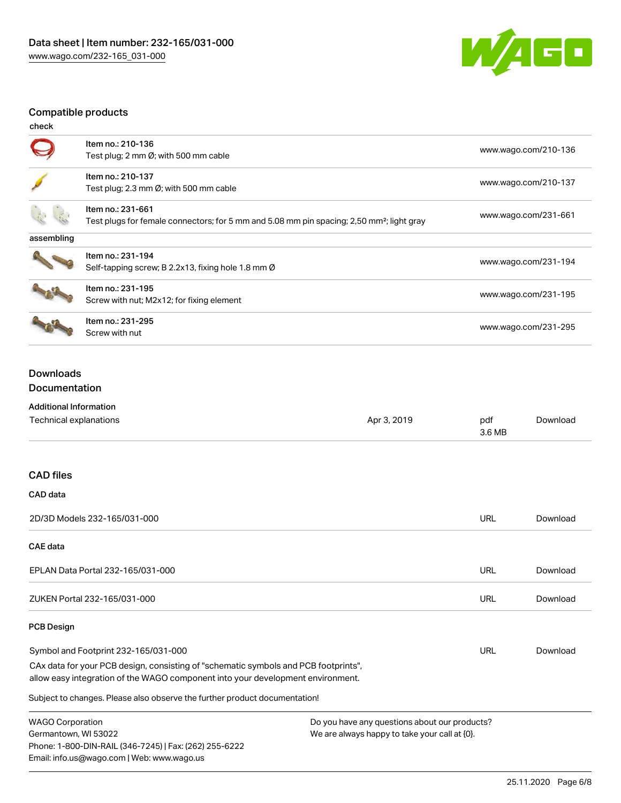

## Compatible products

| check      |                                                                                                                            |                      |
|------------|----------------------------------------------------------------------------------------------------------------------------|----------------------|
|            | Item no.: 210-136<br>Test plug; 2 mm Ø; with 500 mm cable                                                                  | www.wago.com/210-136 |
|            | Item no.: 210-137<br>Test plug; 2.3 mm $\emptyset$ ; with 500 mm cable                                                     | www.wago.com/210-137 |
|            | Item no.: 231-661<br>Test plugs for female connectors; for 5 mm and 5.08 mm pin spacing; 2,50 mm <sup>2</sup> ; light gray | www.wago.com/231-661 |
| assembling |                                                                                                                            |                      |
|            | Item no.: 231-194<br>Self-tapping screw; B 2.2x13, fixing hole 1.8 mm Ø                                                    | www.wago.com/231-194 |
|            | Item no.: 231-195<br>Screw with nut; M2x12; for fixing element                                                             | www.wago.com/231-195 |
|            | Item no.: 231-295<br>Screw with nut                                                                                        | www.wago.com/231-295 |

### Downloads Documentation

## Additional Information

Phone: 1-800-DIN-RAIL (346-7245) | Fax: (262) 255-6222

Email: info.us@wago.com | Web: www.wago.us

| Technical explanations                                                                                                                                                 | Apr 3, 2019                                      | pdf<br>3.6 MB | Download |
|------------------------------------------------------------------------------------------------------------------------------------------------------------------------|--------------------------------------------------|---------------|----------|
| <b>CAD files</b>                                                                                                                                                       |                                                  |               |          |
| CAD data                                                                                                                                                               |                                                  |               |          |
| 2D/3D Models 232-165/031-000                                                                                                                                           |                                                  | <b>URL</b>    | Download |
| <b>CAE</b> data                                                                                                                                                        |                                                  |               |          |
| EPLAN Data Portal 232-165/031-000                                                                                                                                      |                                                  | URL           | Download |
| ZUKEN Portal 232-165/031-000                                                                                                                                           |                                                  | URL           | Download |
| <b>PCB Design</b>                                                                                                                                                      |                                                  |               |          |
| Symbol and Footprint 232-165/031-000                                                                                                                                   |                                                  | URL           | Download |
| CAx data for your PCB design, consisting of "schematic symbols and PCB footprints",<br>allow easy integration of the WAGO component into your development environment. |                                                  |               |          |
| Subject to changes. Please also observe the further product documentation!                                                                                             |                                                  |               |          |
| <b>WAGO Corporation</b>                                                                                                                                                | Do you have any questions about our products?    |               |          |
| Germantown, WI 53022                                                                                                                                                   | We are always happy to take your call at $[0]$ . |               |          |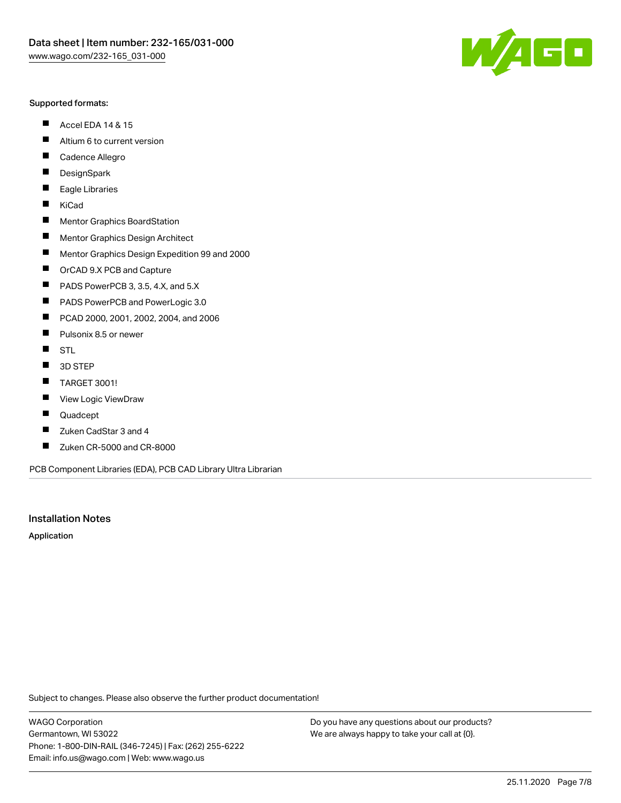#### Supported formats:

- $\blacksquare$ Accel EDA 14 & 15
- $\blacksquare$ Altium 6 to current version
- $\blacksquare$ Cadence Allegro
- $\blacksquare$ **DesignSpark**
- $\blacksquare$ Eagle Libraries
- $\blacksquare$ KiCad
- $\blacksquare$ Mentor Graphics BoardStation
- $\blacksquare$ Mentor Graphics Design Architect
- $\blacksquare$ Mentor Graphics Design Expedition 99 and 2000
- $\blacksquare$ OrCAD 9.X PCB and Capture
- $\blacksquare$ PADS PowerPCB 3, 3.5, 4.X, and 5.X
- $\blacksquare$ PADS PowerPCB and PowerLogic 3.0
- $\blacksquare$ PCAD 2000, 2001, 2002, 2004, and 2006
- $\blacksquare$ Pulsonix 8.5 or newer
- $\blacksquare$ STL
- 3D STEP П
- $\blacksquare$ TARGET 3001!
- $\blacksquare$ View Logic ViewDraw
- $\blacksquare$ Quadcept
- Zuken CadStar 3 and 4  $\blacksquare$
- Zuken CR-5000 and CR-8000 П

PCB Component Libraries (EDA), PCB CAD Library Ultra Librarian

#### Installation Notes

Application

Subject to changes. Please also observe the further product documentation!

WAGO Corporation Germantown, WI 53022 Phone: 1-800-DIN-RAIL (346-7245) | Fax: (262) 255-6222 Email: info.us@wago.com | Web: www.wago.us